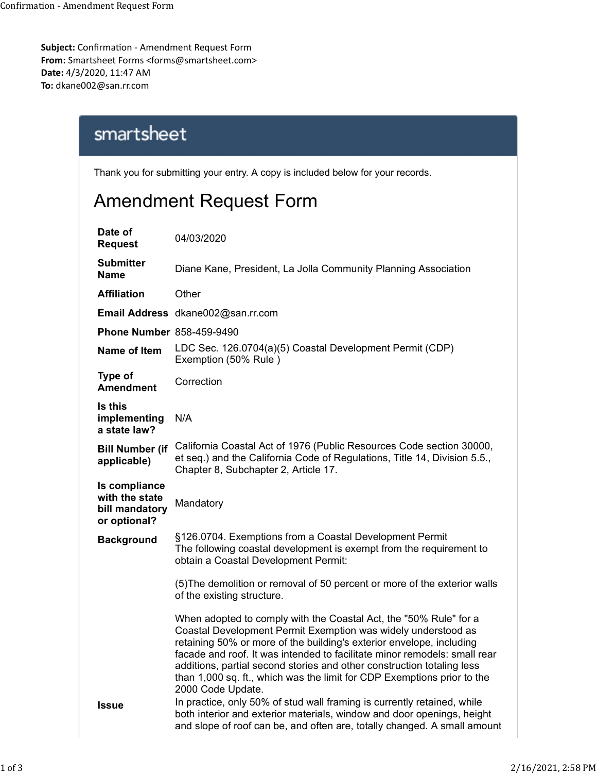Subject: Confirmation - Amendment Request Form From: Smartsheet Forms <forms@smartsheet.com> Date: 4/3/2020, 11:47 AM To: dkane002@san.rr.com Confirmation - Amendment Request Form<br> **Subject:** Confirmation - Amendment Request Form<br> **From:** Smartsheet Forms <forms@smartsheet.com>

## Amendment Request Form

| 20, 11:47 AM<br>@san.rr.com                                       | firmation - Amendment Request Form<br>sheet Forms <forms@smartsheet.com></forms@smartsheet.com>                                                                                                                                                                                                                                                                                                                                                                   |                    |
|-------------------------------------------------------------------|-------------------------------------------------------------------------------------------------------------------------------------------------------------------------------------------------------------------------------------------------------------------------------------------------------------------------------------------------------------------------------------------------------------------------------------------------------------------|--------------------|
| smartsheet                                                        |                                                                                                                                                                                                                                                                                                                                                                                                                                                                   |                    |
|                                                                   | Thank you for submitting your entry. A copy is included below for your records.                                                                                                                                                                                                                                                                                                                                                                                   |                    |
|                                                                   | Amendment Request Form                                                                                                                                                                                                                                                                                                                                                                                                                                            |                    |
| Date of<br><b>Request</b>                                         | 04/03/2020                                                                                                                                                                                                                                                                                                                                                                                                                                                        |                    |
| <b>Submitter</b><br><b>Name</b>                                   | Diane Kane, President, La Jolla Community Planning Association                                                                                                                                                                                                                                                                                                                                                                                                    |                    |
| <b>Affiliation</b>                                                | Other                                                                                                                                                                                                                                                                                                                                                                                                                                                             |                    |
|                                                                   | Email Address dkane002@san.rr.com                                                                                                                                                                                                                                                                                                                                                                                                                                 |                    |
| <b>Phone Number 858-459-9490</b>                                  |                                                                                                                                                                                                                                                                                                                                                                                                                                                                   |                    |
| Name of Item                                                      | LDC Sec. 126.0704(a)(5) Coastal Development Permit (CDP)<br>Exemption (50% Rule)                                                                                                                                                                                                                                                                                                                                                                                  |                    |
| <b>Type of</b><br><b>Amendment</b>                                | Correction                                                                                                                                                                                                                                                                                                                                                                                                                                                        |                    |
| Is this<br>implementing<br>a state law?                           | N/A                                                                                                                                                                                                                                                                                                                                                                                                                                                               |                    |
| applicable)                                                       | Bill Number (if California Coastal Act of 1976 (Public Resources Code section 30000,<br>et seq.) and the California Code of Regulations, Title 14, Division 5.5.,<br>Chapter 8, Subchapter 2, Article 17.                                                                                                                                                                                                                                                         |                    |
| Is compliance<br>with the state<br>bill mandatory<br>or optional? | Mandatory                                                                                                                                                                                                                                                                                                                                                                                                                                                         |                    |
| <b>Background</b>                                                 | §126.0704. Exemptions from a Coastal Development Permit<br>The following coastal development is exempt from the requirement to<br>obtain a Coastal Development Permit:                                                                                                                                                                                                                                                                                            |                    |
|                                                                   | (5) The demolition or removal of 50 percent or more of the exterior walls<br>of the existing structure.                                                                                                                                                                                                                                                                                                                                                           |                    |
|                                                                   | When adopted to comply with the Coastal Act, the "50% Rule" for a<br>Coastal Development Permit Exemption was widely understood as<br>retaining 50% or more of the building's exterior envelope, including<br>facade and roof. It was intended to facilitate minor remodels: small rear<br>additions, partial second stories and other construction totaling less<br>than 1,000 sq. ft., which was the limit for CDP Exemptions prior to the<br>2000 Code Update. |                    |
| <b>Issue</b>                                                      | In practice, only 50% of stud wall framing is currently retained, while<br>both interior and exterior materials, window and door openings, height<br>and slope of roof can be, and often are, totally changed. A small amount                                                                                                                                                                                                                                     |                    |
|                                                                   |                                                                                                                                                                                                                                                                                                                                                                                                                                                                   |                    |
|                                                                   |                                                                                                                                                                                                                                                                                                                                                                                                                                                                   | 2/16/2021, 2:58 PM |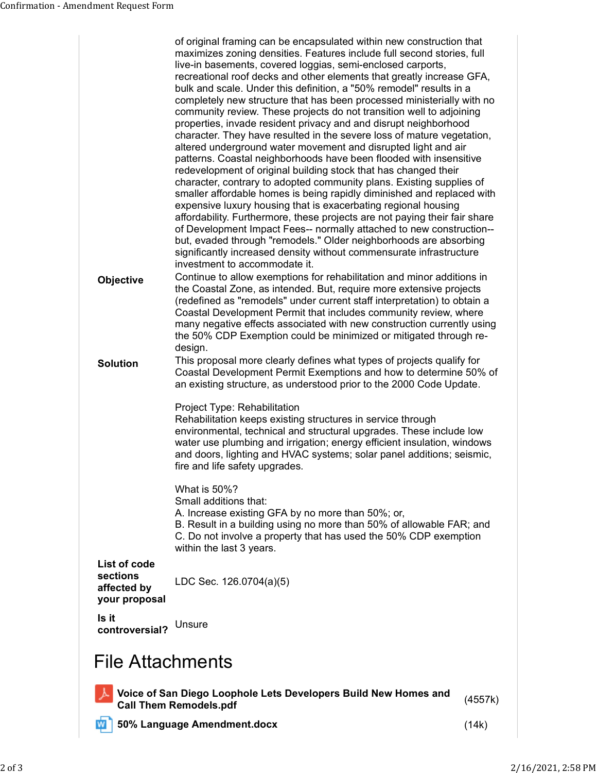| Confirmation - Amendment Request Form    |                                                                                                                                                                      |         |
|------------------------------------------|----------------------------------------------------------------------------------------------------------------------------------------------------------------------|---------|
|                                          |                                                                                                                                                                      |         |
|                                          |                                                                                                                                                                      |         |
|                                          |                                                                                                                                                                      |         |
|                                          |                                                                                                                                                                      |         |
|                                          |                                                                                                                                                                      |         |
|                                          |                                                                                                                                                                      |         |
|                                          | of original framing can be encapsulated within new construction that<br>maximizes zoning densities. Features include full second stories, full                       |         |
|                                          | live-in basements, covered loggias, semi-enclosed carports,<br>recreational roof decks and other elements that greatly increase GFA,                                 |         |
|                                          | bulk and scale. Under this definition, a "50% remodel" results in a                                                                                                  |         |
|                                          | completely new structure that has been processed ministerially with no<br>community review. These projects do not transition well to adjoining                       |         |
|                                          | properties, invade resident privacy and and disrupt neighborhood<br>character. They have resulted in the severe loss of mature vegetation,                           |         |
|                                          | altered underground water movement and disrupted light and air<br>patterns. Coastal neighborhoods have been flooded with insensitive                                 |         |
|                                          | redevelopment of original building stock that has changed their<br>character, contrary to adopted community plans. Existing supplies of                              |         |
|                                          | smaller affordable homes is being rapidly diminished and replaced with<br>expensive luxury housing that is exacerbating regional housing                             |         |
|                                          | affordability. Furthermore, these projects are not paying their fair share<br>of Development Impact Fees-- normally attached to new construction--                   |         |
|                                          | but, evaded through "remodels." Older neighborhoods are absorbing                                                                                                    |         |
|                                          | significantly increased density without commensurate infrastructure<br>investment to accommodate it.                                                                 |         |
| Objective                                | Continue to allow exemptions for rehabilitation and minor additions in<br>the Coastal Zone, as intended. But, require more extensive projects                        |         |
|                                          | (redefined as "remodels" under current staff interpretation) to obtain a<br>Coastal Development Permit that includes community review, where                         |         |
|                                          | many negative effects associated with new construction currently using<br>the 50% CDP Exemption could be minimized or mitigated through re-                          |         |
|                                          | design.<br>This proposal more clearly defines what types of projects qualify for                                                                                     |         |
| <b>Solution</b>                          | Coastal Development Permit Exemptions and how to determine 50% of<br>an existing structure, as understood prior to the 2000 Code Update.                             |         |
|                                          | Project Type: Rehabilitation<br>Rehabilitation keeps existing structures in service through                                                                          |         |
|                                          | environmental, technical and structural upgrades. These include low<br>water use plumbing and irrigation; energy efficient insulation, windows                       |         |
|                                          | and doors, lighting and HVAC systems; solar panel additions; seismic,<br>fire and life safety upgrades.                                                              |         |
|                                          | What is 50%?                                                                                                                                                         |         |
|                                          | Small additions that:<br>A. Increase existing GFA by no more than 50%; or,                                                                                           |         |
|                                          | B. Result in a building using no more than 50% of allowable FAR; and<br>C. Do not involve a property that has used the 50% CDP exemption<br>within the last 3 years. |         |
| List of code                             |                                                                                                                                                                      |         |
| sections<br>affected by<br>your proposal | LDC Sec. 126.0704(a)(5)                                                                                                                                              |         |
| Is it<br>controversial? Unsure           |                                                                                                                                                                      |         |
| <b>File Attachments</b>                  |                                                                                                                                                                      |         |
|                                          | Voice of San Diego Loophole Lets Developers Build New Homes and                                                                                                      | (4557k) |
|                                          | 50% Language Amendment.docx                                                                                                                                          | (14k)   |
|                                          | <b>Call Them Remodels.pdf</b>                                                                                                                                        |         |